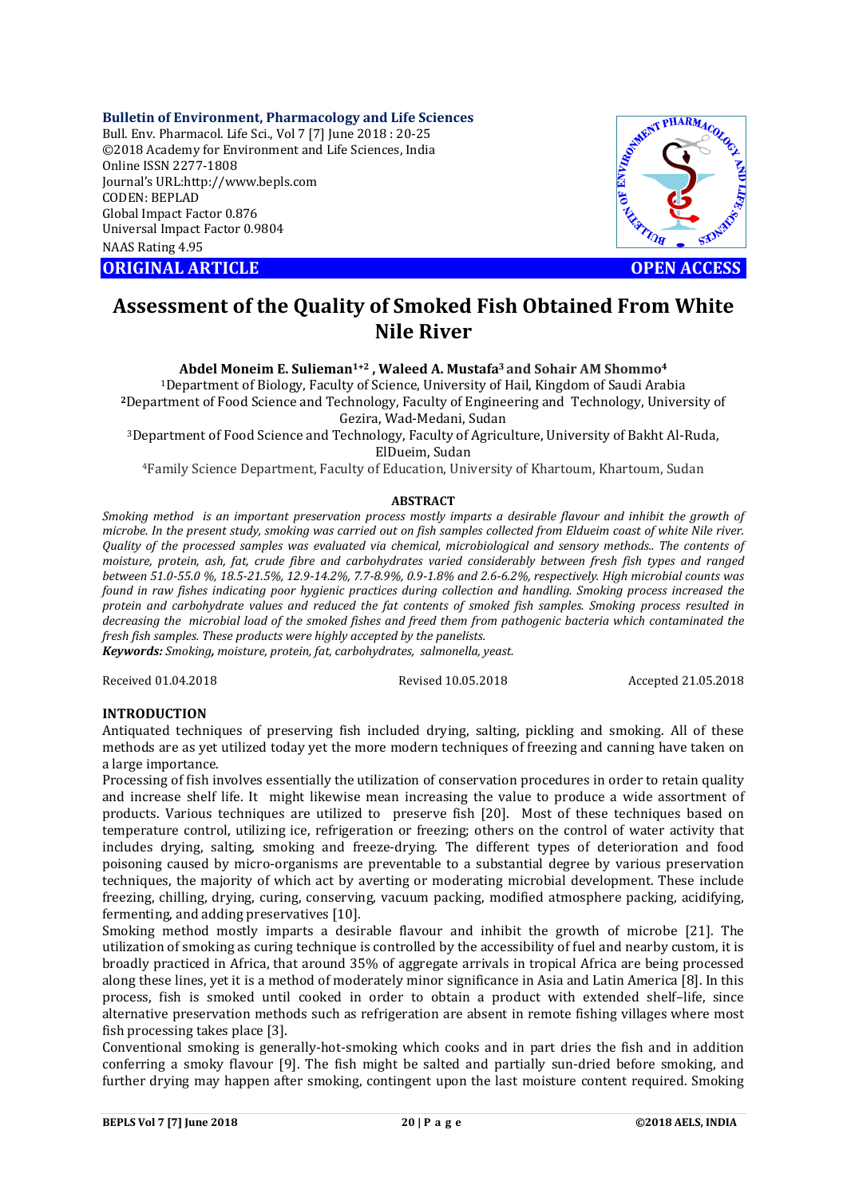# **Bulletin of Environment, Pharmacology and Life Sciences**

Bull. Env. Pharmacol. Life Sci., Vol 7 [7] June 2018 : 20-25 ©2018 Academy for Environment and Life Sciences, India Online ISSN 2277-1808 Journal's URL:http://www.bepls.com CODEN: BEPLAD Global Impact Factor 0.876 Universal Impact Factor 0.9804 NAAS Rating 4.95

**ORIGINAL ARTICLE OPEN ACCESS** 



# **Assessment of the Quality of Smoked Fish Obtained From White Nile River**

**Abdel Moneim E. Sulieman1+2 , Waleed A. Mustafa3 and Sohair AM Shommo4**

1Department of Biology, Faculty of Science, University of Hail, Kingdom of Saudi Arabia **<sup>2</sup>**Department of Food Science and Technology, Faculty of Engineering and Technology, University of Gezira, Wad-Medani, Sudan

3Department of Food Science and Technology, Faculty of Agriculture, University of Bakht Al-Ruda, ElDueim, Sudan

4Family Science Department, Faculty of Education, University of Khartoum, Khartoum, Sudan

## **ABSTRACT**

*Smoking method is an important preservation process mostly imparts a desirable flavour and inhibit the growth of microbe. In the present study, smoking was carried out on fish samples collected from Eldueim coast of white Nile river. Quality of the processed samples was evaluated via chemical, microbiological and sensory methods.. The contents of moisture, protein, ash, fat, crude fibre and carbohydrates varied considerably between fresh fish types and ranged between 51.0-55.0 %, 18.5-21.5%, 12.9-14.2%, 7.7-8.9%, 0.9-1.8% and 2.6-6.2%, respectively. High microbial counts was found in raw fishes indicating poor hygienic practices during collection and handling. Smoking process increased the protein and carbohydrate values and reduced the fat contents of smoked fish samples. Smoking process resulted in decreasing the microbial load of the smoked fishes and freed them from pathogenic bacteria which contaminated the fresh fish samples. These products were highly accepted by the panelists.*

*Keywords: Smoking, moisture, protein, fat, carbohydrates, salmonella, yeast.*

Received 01.04.2018 Revised 10.05.2018 Accepted 21.05.2018

# **INTRODUCTION**

Antiquated techniques of preserving fish included drying, salting, pickling and smoking. All of these methods are as yet utilized today yet the more modern techniques of freezing and canning have taken on a large importance.

Processing of fish involves essentially the utilization of conservation procedures in order to retain quality and increase shelf life. It might likewise mean increasing the value to produce a wide assortment of products. Various techniques are utilized to preserve fish [20]. Most of these techniques based on temperature control, utilizing ice, refrigeration or freezing; others on the control of water activity that includes drying, salting, smoking and freeze-drying. The different types of deterioration and food poisoning caused by micro-organisms are preventable to a substantial degree by various preservation techniques, the majority of which act by averting or moderating microbial development. These include freezing, chilling, drying, curing, conserving, vacuum packing, modified atmosphere packing, acidifying, fermenting, and adding preservatives [10].

Smoking method mostly imparts a desirable flavour and inhibit the growth of microbe [21]. The utilization of smoking as curing technique is controlled by the accessibility of fuel and nearby custom, it is broadly practiced in Africa, that around 35% of aggregate arrivals in tropical Africa are being processed along these lines, yet it is a method of moderately minor significance in Asia and Latin America [8]. In this process, fish is smoked until cooked in order to obtain a product with extended shelf–life, since alternative preservation methods such as refrigeration are absent in remote fishing villages where most fish processing takes place [3].

Conventional smoking is generally-hot-smoking which cooks and in part dries the fish and in addition conferring a smoky flavour [9]. The fish might be salted and partially sun-dried before smoking, and further drying may happen after smoking, contingent upon the last moisture content required. Smoking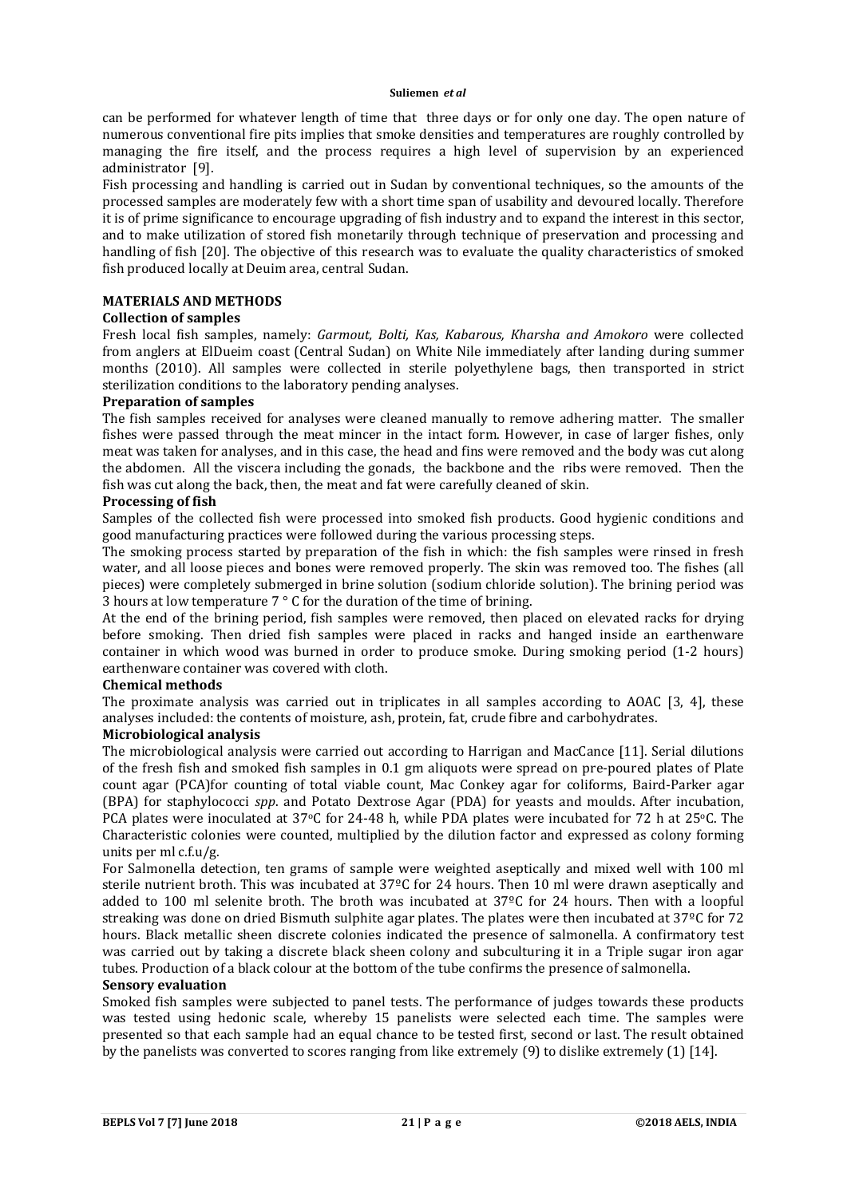can be performed for whatever length of time that three days or for only one day. The open nature of numerous conventional fire pits implies that smoke densities and temperatures are roughly controlled by managing the fire itself, and the process requires a high level of supervision by an experienced administrator [9].

Fish processing and handling is carried out in Sudan by conventional techniques, so the amounts of the processed samples are moderately few with a short time span of usability and devoured locally. Therefore it is of prime significance to encourage upgrading of fish industry and to expand the interest in this sector, and to make utilization of stored fish monetarily through technique of preservation and processing and handling of fish [20]. The objective of this research was to evaluate the quality characteristics of smoked fish produced locally at Deuim area, central Sudan.

# **MATERIALS AND METHODS**

# **Collection of samples**

Fresh local fish samples, namely: *Garmout, Bolti, Kas, Kabarous, Kharsha and Amokoro* were collected from anglers at ElDueim coast (Central Sudan) on White Nile immediately after landing during summer months (2010). All samples were collected in sterile polyethylene bags, then transported in strict sterilization conditions to the laboratory pending analyses.

# **Preparation of samples**

The fish samples received for analyses were cleaned manually to remove adhering matter. The smaller fishes were passed through the meat mincer in the intact form. However, in case of larger fishes, only meat was taken for analyses, and in this case, the head and fins were removed and the body was cut along the abdomen. All the viscera including the gonads, the backbone and the ribs were removed. Then the fish was cut along the back, then, the meat and fat were carefully cleaned of skin.

# **Processing of fish**

Samples of the collected fish were processed into smoked fish products. Good hygienic conditions and good manufacturing practices were followed during the various processing steps.

The smoking process started by preparation of the fish in which: the fish samples were rinsed in fresh water, and all loose pieces and bones were removed properly. The skin was removed too. The fishes (all pieces) were completely submerged in brine solution (sodium chloride solution). The brining period was 3 hours at low temperature 7 ° C for the duration of the time of brining.

At the end of the brining period, fish samples were removed, then placed on elevated racks for drying before smoking. Then dried fish samples were placed in racks and hanged inside an earthenware container in which wood was burned in order to produce smoke. During smoking period (1-2 hours) earthenware container was covered with cloth.

# **Chemical methods**

The proximate analysis was carried out in triplicates in all samples according to AOAC [3, 4], these analyses included: the contents of moisture, ash, protein, fat, crude fibre and carbohydrates.

# **Microbiological analysis**

The microbiological analysis were carried out according to Harrigan and MacCance [11]. Serial dilutions of the fresh fish and smoked fish samples in 0.1 gm aliquots were spread on pre-poured plates of Plate count agar (PCA)for counting of total viable count, Mac Conkey agar for coliforms, Baird-Parker agar (BPA) for staphylococci *spp*. and Potato Dextrose Agar (PDA) for yeasts and moulds. After incubation, PCA plates were inoculated at 37°C for 24-48 h, while PDA plates were incubated for 72 h at 25°C. The Characteristic colonies were counted, multiplied by the dilution factor and expressed as colony forming units per ml  $cf.u/g$ .

For Salmonella detection, ten grams of sample were weighted aseptically and mixed well with 100 ml sterile nutrient broth. This was incubated at 37ºC for 24 hours. Then 10 ml were drawn aseptically and added to 100 ml selenite broth. The broth was incubated at 37ºC for 24 hours. Then with a loopful streaking was done on dried Bismuth sulphite agar plates. The plates were then incubated at 37ºC for 72 hours. Black metallic sheen discrete colonies indicated the presence of salmonella. A confirmatory test was carried out by taking a discrete black sheen colony and subculturing it in a Triple sugar iron agar tubes. Production of a black colour at the bottom of the tube confirms the presence of salmonella.

# **Sensory evaluation**

Smoked fish samples were subjected to panel tests. The performance of judges towards these products was tested using hedonic scale, whereby 15 panelists were selected each time. The samples were presented so that each sample had an equal chance to be tested first, second or last. The result obtained by the panelists was converted to scores ranging from like extremely (9) to dislike extremely (1) [14].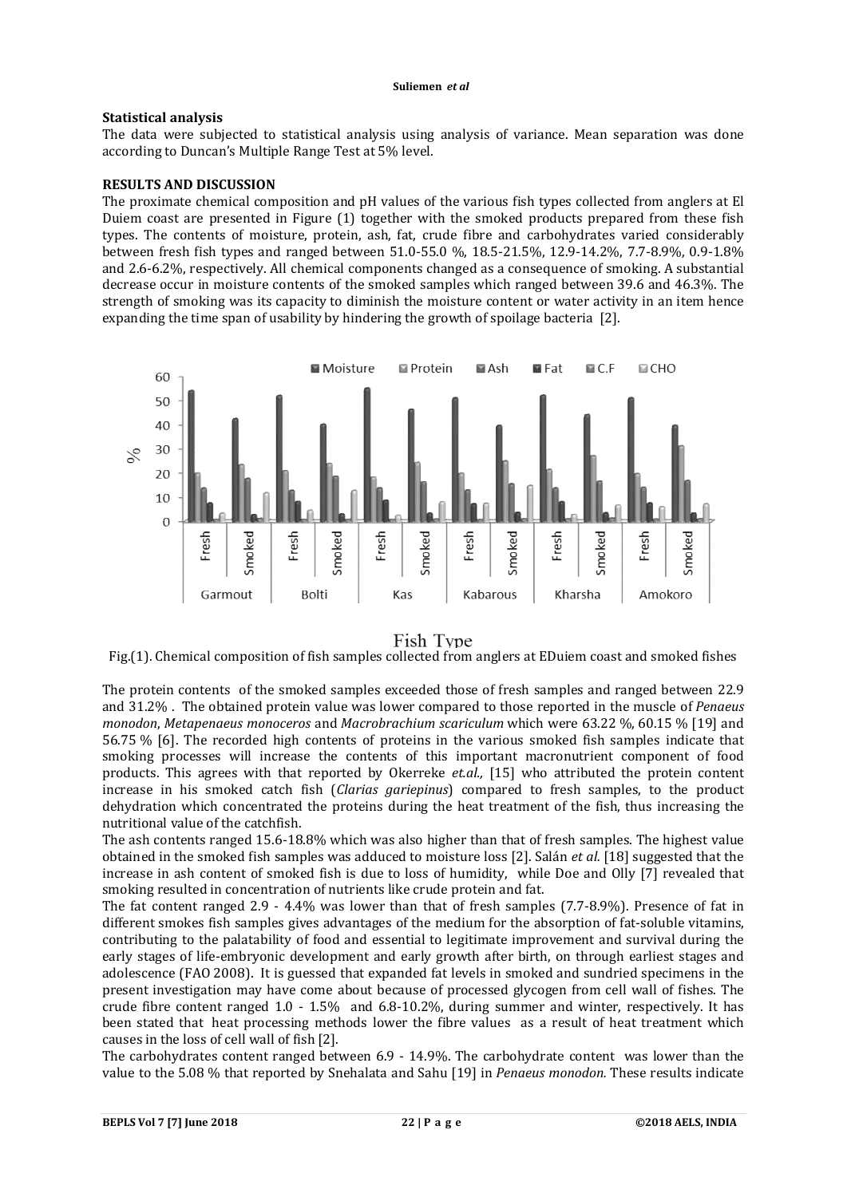# **Statistical analysis**

The data were subjected to statistical analysis using analysis of variance. Mean separation was done according to Duncan's Multiple Range Test at 5% level.

# **RESULTS AND DISCUSSION**

The proximate chemical composition and pH values of the various fish types collected from anglers at El Duiem coast are presented in Figure (1) together with the smoked products prepared from these fish types. The contents of moisture, protein, ash, fat, crude fibre and carbohydrates varied considerably between fresh fish types and ranged between 51.0-55.0 %, 18.5-21.5%, 12.9-14.2%, 7.7-8.9%, 0.9-1.8% and 2.6-6.2%, respectively. All chemical components changed as a consequence of smoking. A substantial decrease occur in moisture contents of the smoked samples which ranged between 39.6 and 46.3%. The strength of smoking was its capacity to diminish the moisture content or water activity in an item hence expanding the time span of usability by hindering the growth of spoilage bacteria [2].



# Fish Type

Fig.(1). Chemical composition of fish samples collected from anglers at EDuiem coast and smoked fishes

The protein contents of the smoked samples exceeded those of fresh samples and ranged between 22.9 and 31.2% . The obtained protein value was lower compared to those reported in the muscle of *Penaeus monodon*, *Metapenaeus monoceros* and *Macrobrachium scariculum* which were 63.22 %, 60.15 % [19] and 56.75 % [6]. The recorded high contents of proteins in the various smoked fish samples indicate that smoking processes will increase the contents of this important macronutrient component of food products. This agrees with that reported by Okerreke *et.al.,* [15] who attributed the protein content increase in his smoked catch fish (*Clarias gariepinus*) compared to fresh samples, to the product dehydration which concentrated the proteins during the heat treatment of the fish, thus increasing the nutritional value of the catchfish.

The ash contents ranged 15.6-18.8% which was also higher than that of fresh samples. The highest value obtained in the smoked fish samples was adduced to moisture loss [2]. Salán *et al.* [18] suggested that the increase in ash content of smoked fish is due to loss of humidity, while Doe and Olly [7] revealed that smoking resulted in concentration of nutrients like crude protein and fat.

The fat content ranged 2.9 - 4.4% was lower than that of fresh samples (7.7-8.9%). Presence of fat in different smokes fish samples gives advantages of the medium for the absorption of fat-soluble vitamins, contributing to the palatability of food and essential to legitimate improvement and survival during the early stages of life-embryonic development and early growth after birth, on through earliest stages and adolescence (FAO 2008). It is guessed that expanded fat levels in smoked and sundried specimens in the present investigation may have come about because of processed glycogen from cell wall of fishes. The crude fibre content ranged 1.0 - 1.5% and 6.8-10.2%, during summer and winter, respectively. It has been stated that heat processing methods lower the fibre values as a result of heat treatment which causes in the loss of cell wall of fish [2].

The carbohydrates content ranged between 6.9 - 14.9%. The carbohydrate content was lower than the value to the 5.08 % that reported by Snehalata and Sahu [19] in *Penaeus monodon.* These results indicate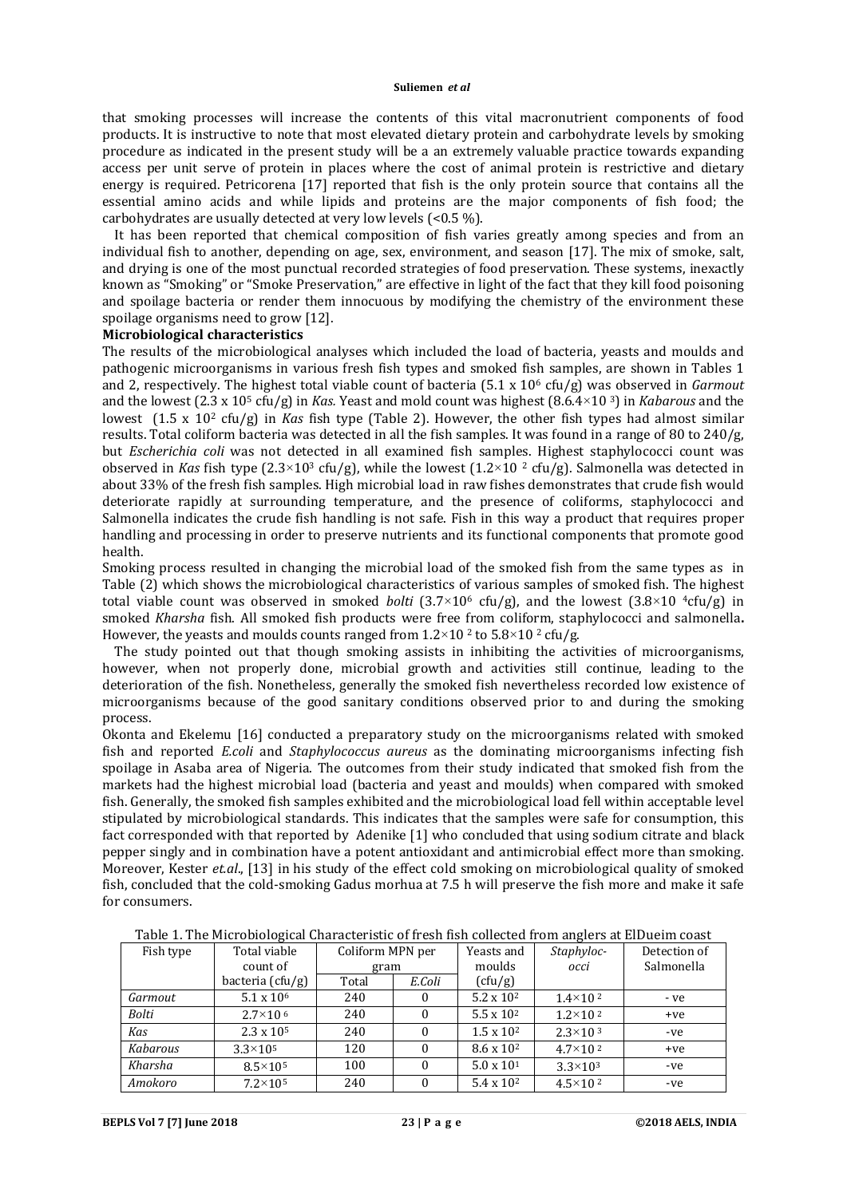that smoking processes will increase the contents of this vital macronutrient components of food products. It is instructive to note that most elevated dietary protein and carbohydrate levels by smoking procedure as indicated in the present study will be a an extremely valuable practice towards expanding access per unit serve of protein in places where the cost of animal protein is restrictive and dietary energy is required. Petricorena [17] reported that fish is the only protein source that contains all the essential amino acids and while lipids and proteins are the major components of fish food; the carbohydrates are usually detected at very low levels (<0.5 %).

 It has been reported that chemical composition of fish varies greatly among species and from an individual fish to another, depending on age, sex, environment, and season [17]. The mix of smoke, salt, and drying is one of the most punctual recorded strategies of food preservation. These systems, inexactly known as "Smoking" or "Smoke Preservation," are effective in light of the fact that they kill food poisoning and spoilage bacteria or render them innocuous by modifying the chemistry of the environment these spoilage organisms need to grow [12].

# **Microbiological characteristics**

The results of the microbiological analyses which included the load of bacteria, yeasts and moulds and pathogenic microorganisms in various fresh fish types and smoked fish samples, are shown in Tables 1 and 2, respectively. The highest total viable count of bacteria (5.1 x 10<sup>6</sup> cfu/g) was observed in *Garmout* and the lowest (2.3 x 105 cfu/g) in *Kas.* Yeast and mold count was highest (8.6.4×10 3) in *Kabarous* and the lowest (1.5 x 102 cfu/g) in *Kas* fish type (Table 2). However, the other fish types had almost similar results. Total coliform bacteria was detected in all the fish samples. It was found in a range of 80 to 240/g, but *Escherichia coli* was not detected in all examined fish samples. Highest staphylococci count was observed in *Kas* fish type  $(2.3 \times 10^3 \text{ cfu/g})$ , while the lowest  $(1.2 \times 10^2 \text{ cfu/g})$ . Salmonella was detected in about 33% of the fresh fish samples. High microbial load in raw fishes demonstrates that crude fish would deteriorate rapidly at surrounding temperature, and the presence of coliforms, staphylococci and Salmonella indicates the crude fish handling is not safe. Fish in this way a product that requires proper handling and processing in order to preserve nutrients and its functional components that promote good health.

Smoking process resulted in changing the microbial load of the smoked fish from the same types as in Table (2) which shows the microbiological characteristics of various samples of smoked fish. The highest total viable count was observed in smoked *bolti*  $(3.7\times10^6 \text{ cftg})$ , and the lowest  $(3.8\times10^{-4} \text{ cftg})$  in smoked *Kharsha* fish. All smoked fish products were free from coliform, staphylococci and salmonella**.**  However, the yeasts and moulds counts ranged from  $1.2 \times 10^2$  to  $5.8 \times 10^2$  cfu/g.

 The study pointed out that though smoking assists in inhibiting the activities of microorganisms, however, when not properly done, microbial growth and activities still continue, leading to the deterioration of the fish. Nonetheless, generally the smoked fish nevertheless recorded low existence of microorganisms because of the good sanitary conditions observed prior to and during the smoking process.

Okonta and Ekelemu [16] conducted a preparatory study on the microorganisms related with smoked fish and reported *E.coli* and *Staphylococcus aureus* as the dominating microorganisms infecting fish spoilage in Asaba area of Nigeria. The outcomes from their study indicated that smoked fish from the markets had the highest microbial load (bacteria and yeast and moulds) when compared with smoked fish. Generally, the smoked fish samples exhibited and the microbiological load fell within acceptable level stipulated by microbiological standards. This indicates that the samples were safe for consumption, this fact corresponded with that reported by Adenike [1] who concluded that using sodium citrate and black pepper singly and in combination have a potent antioxidant and antimicrobial effect more than smoking. Moreover, Kester *et.al*., [13] in his study of the effect cold smoking on microbiological quality of smoked fish, concluded that the cold-smoking Gadus morhua at 7.5 h will preserve the fish more and make it safe for consumers.

|           | rapid 11 The Pherophological dharacteribute of h con hon concetta n onl anglero at 210 achin coapt<br>Total viable |                  |        | Yeasts and          |                     | Detection of |
|-----------|--------------------------------------------------------------------------------------------------------------------|------------------|--------|---------------------|---------------------|--------------|
| Fish type |                                                                                                                    | Coliform MPN per |        |                     | Staphyloc-          |              |
|           | count of                                                                                                           | gram             |        | moulds              | occi                | Salmonella   |
|           | bacteria $(cfu/g)$                                                                                                 | Total            | E.Coli | (cfu/g)             |                     |              |
| Garmout   | $5.1 \times 10^6$                                                                                                  | 240              | $_{0}$ | $5.2 \times 10^{2}$ | $1.4 \times 10^{2}$ | - ve         |
| Bolti     | $2.7\times10^{-6}$                                                                                                 | 240              |        | $5.5 \times 10^{2}$ | $1.2 \times 10^{2}$ | $+ve$        |
| Kas       | $2.3 \times 10^5$                                                                                                  | 240              |        | $1.5 \times 10^{2}$ | $2.3 \times 10^{3}$ | -ve          |
| Kabarous  | $3.3 \times 10^{5}$                                                                                                | 120              | 0      | $8.6 \times 10^{2}$ | $4.7 \times 10^{2}$ | $+ve$        |
| Kharsha   | $8.5 \times 10^5$                                                                                                  | 100              |        | $5.0 \times 10^{1}$ | $3.3 \times 10^{3}$ | -ve          |
| Amokoro   | $7.2\times10^5$                                                                                                    | 240              |        | $5.4 \times 10^{2}$ | $4.5 \times 10^{2}$ | -ve          |

Table 1. The Microbiological Characteristic of fresh fish collected from anglers at ElDueim coast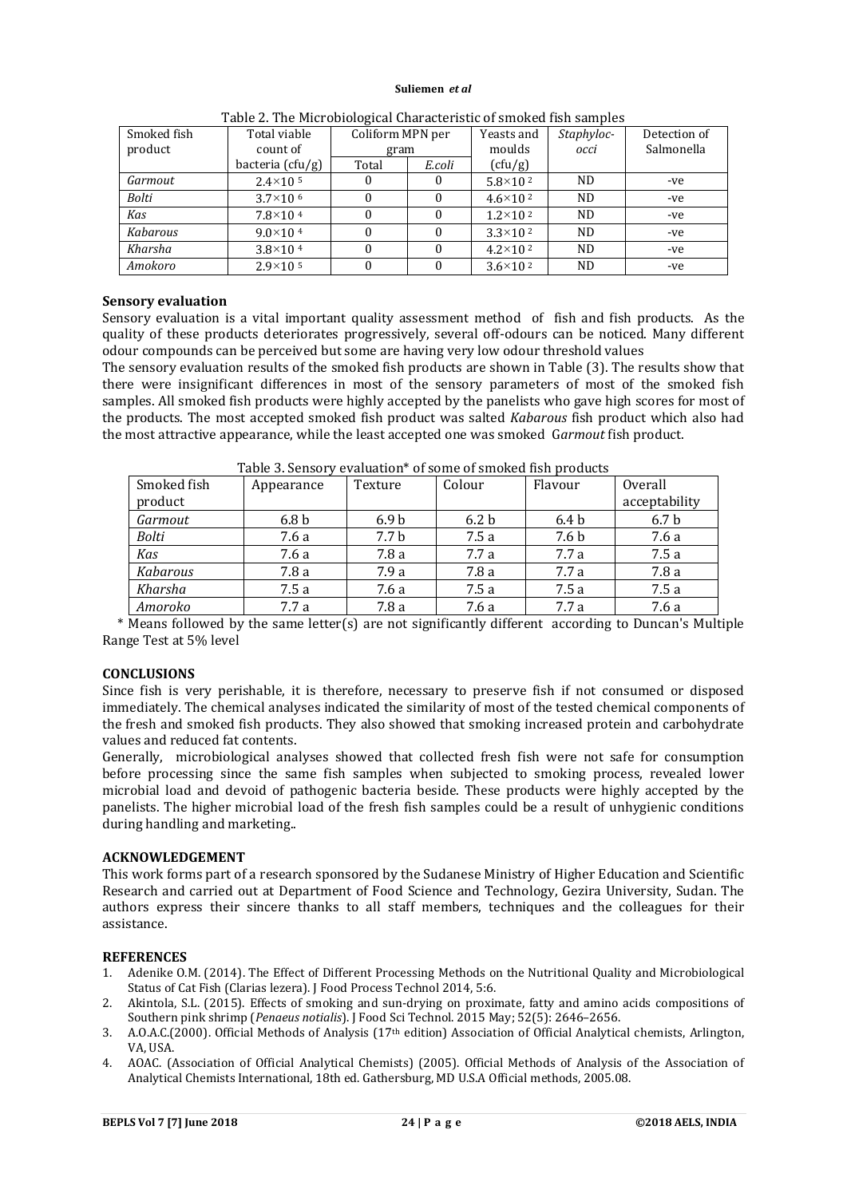| Smoked fish | Total viable         | Table 2. The Pherobiological dilatacteristic of shroked holl samples<br>Coliform MPN per |        | Yeasts and          | Staphyloc- | Detection of |
|-------------|----------------------|------------------------------------------------------------------------------------------|--------|---------------------|------------|--------------|
| product     | count of             | gram                                                                                     |        | moulds              | occi       | Salmonella   |
|             | bacteria $(cfu/g)$   | Total                                                                                    | E.coli | (cfu/g)             |            |              |
| Garmout     | $2.4 \times 10^{-5}$ | 0                                                                                        |        | $5.8 \times 10^{2}$ | <b>ND</b>  | -ve          |
| Bolti       | $3.7\times10^{-6}$   |                                                                                          |        | $4.6 \times 10^{2}$ | <b>ND</b>  | -ve          |
| Kas         | $7.8 \times 10^{-4}$ | 0                                                                                        | 0      | $1.2 \times 10^{2}$ | ND.        | -ve          |
| Kabarous    | $9.0 \times 10^{4}$  | 0                                                                                        | 0      | $3.3 \times 10^{2}$ | ND.        | -ve          |
| Kharsha     | $3.8 \times 10^{4}$  | 0                                                                                        | O      | $4.2 \times 10^{2}$ | ND.        | -ve          |
| Amokoro     | $2.9 \times 10^{-5}$ | 0                                                                                        |        | $3.6 \times 10^{2}$ | ND.        | -ve          |

Table 2. The Microbiological Characteristic of smoked fish samples

# **Sensory evaluation**

Sensory evaluation is a vital important quality assessment method of fish and fish products. As the quality of these products deteriorates progressively, several off-odours can be noticed. Many different odour compounds can be perceived but some are having very low odour threshold values

The sensory evaluation results of the smoked fish products are shown in Table (3). The results show that there were insignificant differences in most of the sensory parameters of most of the smoked fish samples. All smoked fish products were highly accepted by the panelists who gave high scores for most of the products. The most accepted smoked fish product was salted *Kabarous* fish product which also had the most attractive appearance, while the least accepted one was smoked G*armout* fish product.

| Smoked fish  | Table 5. Schsoft Crandation Tor some of sinoked had produced<br>Appearance | Texture          | Colour           | Flavour          | Overall          |
|--------------|----------------------------------------------------------------------------|------------------|------------------|------------------|------------------|
| product      |                                                                            |                  |                  |                  | acceptability    |
| Garmout      | 6.8 <sub>b</sub>                                                           | 6.9 <sub>b</sub> | 6.2 <sub>b</sub> | 6.4 <sub>b</sub> | 6.7 <sub>b</sub> |
| <b>Bolti</b> | 7.6 a                                                                      | 7.7 b            | 7.5a             | 7.6 b            | 7.6 a            |
| Kas          | 7.6 a                                                                      | 7.8a             | 7.7a             | 7.7a             | 7.5a             |
| Kabarous     | 7.8 a                                                                      | 7.9a             | 7.8a             | 7.7a             | 7.8a             |
| Kharsha      | 7.5a                                                                       | 7.6 a            | 7.5a             | 7.5a             | 7.5a             |
| Amoroko      | 7.7 a                                                                      | 7.8a             | 7.6 a            | 7.7 a            | 7.6 a            |

Table 3. Sensory evaluation\* of some of smoked fish products

 \* Means followed by the same letter(s) are not significantly different according to Duncan's Multiple Range Test at 5% level

# **CONCLUSIONS**

Since fish is very perishable, it is therefore, necessary to preserve fish if not consumed or disposed immediately. The chemical analyses indicated the similarity of most of the tested chemical components of the fresh and smoked fish products. They also showed that smoking increased protein and carbohydrate values and reduced fat contents.

Generally, microbiological analyses showed that collected fresh fish were not safe for consumption before processing since the same fish samples when subjected to smoking process, revealed lower microbial load and devoid of pathogenic bacteria beside. These products were highly accepted by the panelists. The higher microbial load of the fresh fish samples could be a result of unhygienic conditions during handling and marketing..

# **ACKNOWLEDGEMENT**

This work forms part of a research sponsored by the Sudanese Ministry of Higher Education and Scientific Research and carried out at Department of Food Science and Technology, Gezira University, Sudan. The authors express their sincere thanks to all staff members, techniques and the colleagues for their assistance.

# **REFERENCES**

- 1. Adenike O.M. (2014). The Effect of Different Processing Methods on the Nutritional Quality and Microbiological Status of Cat Fish (Clarias lezera). J Food Process Technol 2014, 5:6.
- 2. Akintola, S.L. (2015). Effects of smoking and sun-drying on proximate, fatty and amino acids compositions of Southern pink shrimp (*Penaeus notialis*). J Food Sci Technol. 2015 May; 52(5): 2646–2656.
- 3. A.O.A.C.(2000). Official Methods of Analysis (17th edition) Association of Official Analytical chemists, Arlington, VA IISA.
- 4. AOAC. (Association of Official Analytical Chemists) (2005). Official Methods of Analysis of the Association of Analytical Chemists International, 18th ed. Gathersburg, MD U.S.A Official methods, 2005.08.